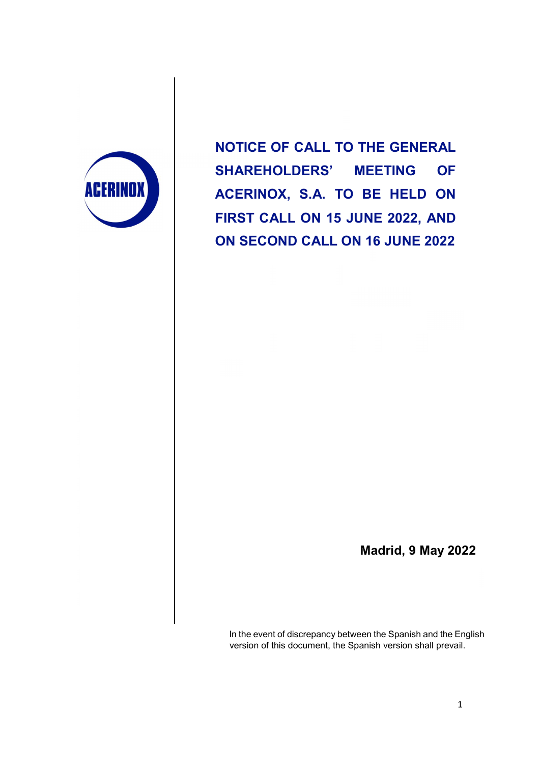

NOTICE OF CALL TO THE GENERAL SHAREHOLDERS' MEETING OF ACERINOX, S.A. TO BE HELD ON FIRST CALL ON 15 JUNE 2022, AND ON SECOND CALL ON 16 JUNE 2022

Madrid, 9 May 2022

In the event of discrepancy between the Spanish and the English version of this document, the Spanish version shall prevail.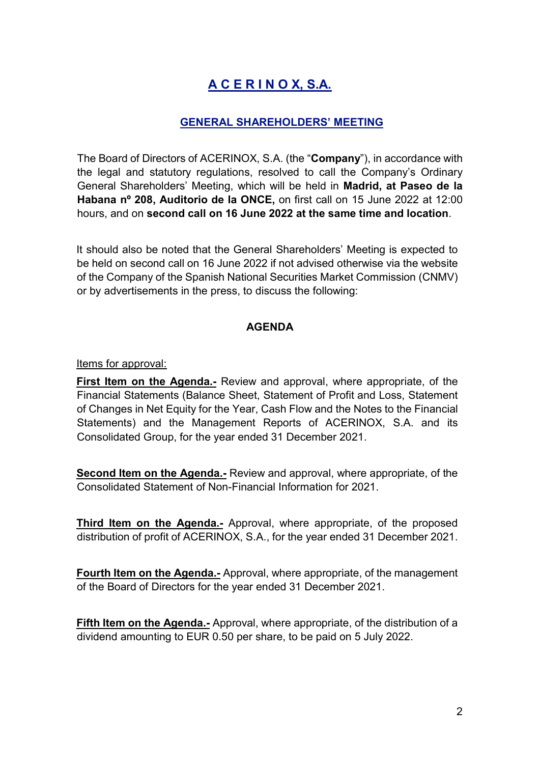# A C E R I N O X, S.A.

### GENERAL SHAREHOLDERS' MEETING

The Board of Directors of ACERINOX, S.A. (the "Company"), in accordance with the legal and statutory regulations, resolved to call the Company's Ordinary General Shareholders' Meeting, which will be held in Madrid, at Paseo de la Habana nº 208, Auditorio de la ONCE, on first call on 15 June 2022 at 12:00 hours, and on second call on 16 June 2022 at the same time and location.

It should also be noted that the General Shareholders' Meeting is expected to be held on second call on 16 June 2022 if not advised otherwise via the website of the Company of the Spanish National Securities Market Commission (CNMV) or by advertisements in the press, to discuss the following:

#### AGENDA

Items for approval:

First Item on the Agenda.- Review and approval, where appropriate, of the Financial Statements (Balance Sheet, Statement of Profit and Loss, Statement of Changes in Net Equity for the Year, Cash Flow and the Notes to the Financial Statements) and the Management Reports of ACERINOX, S.A. and its Consolidated Group, for the year ended 31 December 2021.

Second Item on the Agenda.- Review and approval, where appropriate, of the Consolidated Statement of Non-Financial Information for 2021.

Third Item on the Agenda.- Approval, where appropriate, of the proposed distribution of profit of ACERINOX, S.A., for the year ended 31 December 2021.

Fourth Item on the Agenda.- Approval, where appropriate, of the management of the Board of Directors for the year ended 31 December 2021.

Fifth Item on the Agenda.- Approval, where appropriate, of the distribution of a dividend amounting to EUR 0.50 per share, to be paid on 5 July 2022.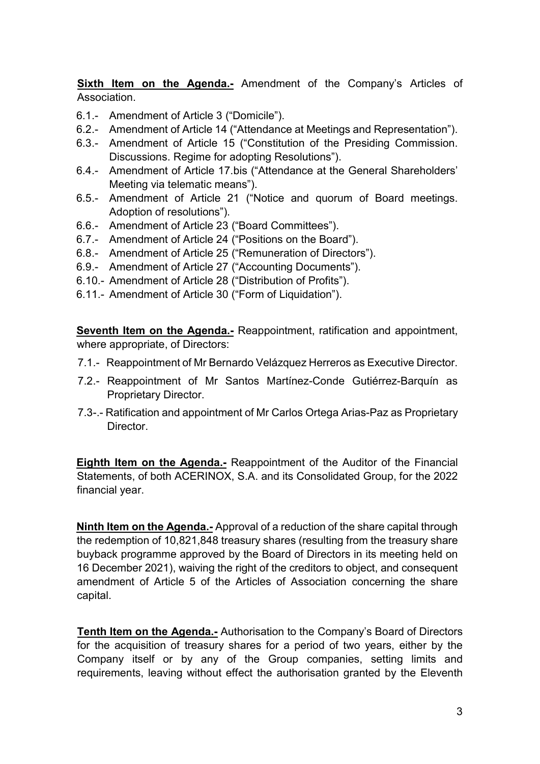Sixth Item on the Agenda.- Amendment of the Company's Articles of Association.

- 6.1.- Amendment of Article 3 ("Domicile").
- 6.2.- Amendment of Article 14 ("Attendance at Meetings and Representation").
- 6.3.- Amendment of Article 15 ("Constitution of the Presiding Commission. Discussions. Regime for adopting Resolutions").
- 6.4.- Amendment of Article 17.bis ("Attendance at the General Shareholders' Meeting via telematic means").
- 6.5.- Amendment of Article 21 ("Notice and quorum of Board meetings. Adoption of resolutions").
- 6.6.- Amendment of Article 23 ("Board Committees").
- 6.7.- Amendment of Article 24 ("Positions on the Board").
- 6.8.- Amendment of Article 25 ("Remuneration of Directors").
- 6.9.- Amendment of Article 27 ("Accounting Documents").
- 6.10.- Amendment of Article 28 ("Distribution of Profits").
- 6.11.- Amendment of Article 30 ("Form of Liquidation").

Seventh Item on the Agenda.- Reappointment, ratification and appointment, where appropriate, of Directors:

- 7.1.- Reappointment of Mr Bernardo Velázquez Herreros as Executive Director.
- 7.2.- Reappointment of Mr Santos Martínez-Conde Gutiérrez-Barquín as Proprietary Director.
- 7.3-.- Ratification and appointment of Mr Carlos Ortega Arias-Paz as Proprietary **Director**

Eighth Item on the Agenda.- Reappointment of the Auditor of the Financial Statements, of both ACERINOX, S.A. and its Consolidated Group, for the 2022 financial year.

Ninth Item on the Agenda.- Approval of a reduction of the share capital through the redemption of 10,821,848 treasury shares (resulting from the treasury share buyback programme approved by the Board of Directors in its meeting held on 16 December 2021), waiving the right of the creditors to object, and consequent amendment of Article 5 of the Articles of Association concerning the share capital.

Tenth Item on the Agenda.- Authorisation to the Company's Board of Directors for the acquisition of treasury shares for a period of two years, either by the Company itself or by any of the Group companies, setting limits and requirements, leaving without effect the authorisation granted by the Eleventh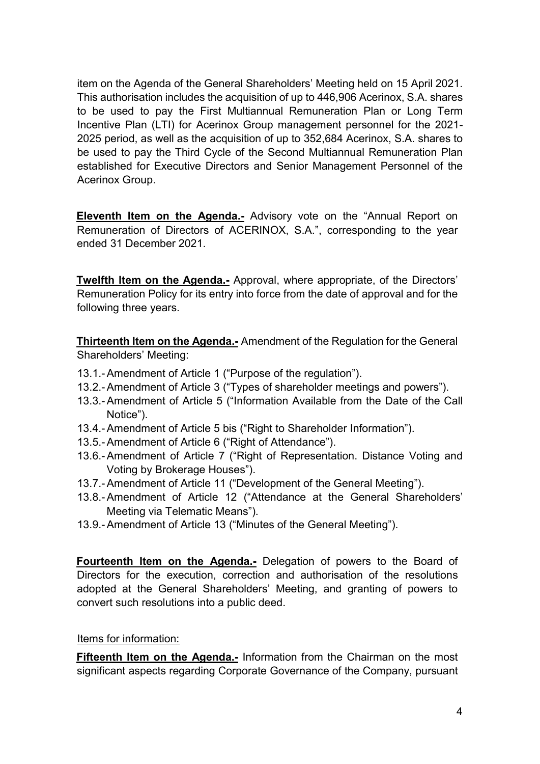item on the Agenda of the General Shareholders' Meeting held on 15 April 2021. This authorisation includes the acquisition of up to 446,906 Acerinox, S.A. shares to be used to pay the First Multiannual Remuneration Plan or Long Term Incentive Plan (LTI) for Acerinox Group management personnel for the 2021- 2025 period, as well as the acquisition of up to 352,684 Acerinox, S.A. shares to be used to pay the Third Cycle of the Second Multiannual Remuneration Plan established for Executive Directors and Senior Management Personnel of the Acerinox Group.

Eleventh Item on the Agenda.- Advisory vote on the "Annual Report on Remuneration of Directors of ACERINOX, S.A.", corresponding to the year ended 31 December 2021.

Twelfth Item on the Agenda.- Approval, where appropriate, of the Directors' Remuneration Policy for its entry into force from the date of approval and for the following three years.

Thirteenth Item on the Agenda.- Amendment of the Regulation for the General Shareholders' Meeting:

- 13.1.- Amendment of Article 1 ("Purpose of the regulation").
- 13.2.- Amendment of Article 3 ("Types of shareholder meetings and powers").
- 13.3.- Amendment of Article 5 ("Information Available from the Date of the Call Notice").
- 13.4.- Amendment of Article 5 bis ("Right to Shareholder Information").
- 13.5.- Amendment of Article 6 ("Right of Attendance").
- 13.6.- Amendment of Article 7 ("Right of Representation. Distance Voting and Voting by Brokerage Houses").
- 13.7.- Amendment of Article 11 ("Development of the General Meeting").
- 13.8.- Amendment of Article 12 ("Attendance at the General Shareholders' Meeting via Telematic Means").
- 13.9.- Amendment of Article 13 ("Minutes of the General Meeting").

Fourteenth Item on the Agenda.- Delegation of powers to the Board of Directors for the execution, correction and authorisation of the resolutions adopted at the General Shareholders' Meeting, and granting of powers to convert such resolutions into a public deed.

#### Items for information:

Fifteenth Item on the Agenda.- Information from the Chairman on the most significant aspects regarding Corporate Governance of the Company, pursuant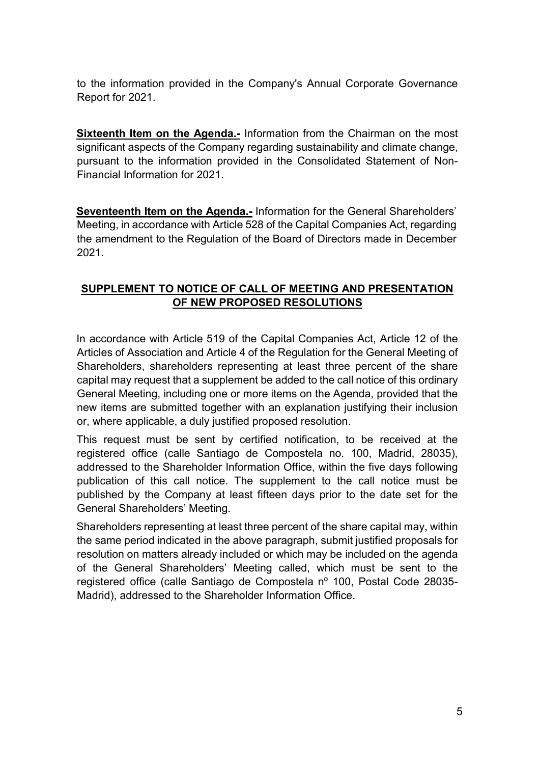to the information provided in the Company's Annual Corporate Governance Report for 2021.

Sixteenth Item on the Agenda.- Information from the Chairman on the most significant aspects of the Company regarding sustainability and climate change, pursuant to the information provided in the Consolidated Statement of Non-Financial Information for 2021.

Seventeenth Item on the Agenda.- Information for the General Shareholders' Meeting, in accordance with Article 528 of the Capital Companies Act, regarding the amendment to the Regulation of the Board of Directors made in December 2021.

### SUPPLEMENT TO NOTICE OF CALL OF MEETING AND PRESENTATION OF NEW PROPOSED RESOLUTIONS

In accordance with Article 519 of the Capital Companies Act, Article 12 of the Articles of Association and Article 4 of the Regulation for the General Meeting of Shareholders, shareholders representing at least three percent of the share capital may request that a supplement be added to the call notice of this ordinary General Meeting, including one or more items on the Agenda, provided that the new items are submitted together with an explanation justifying their inclusion or, where applicable, a duly justified proposed resolution.

This request must be sent by certified notification, to be received at the registered office (calle Santiago de Compostela no. 100, Madrid, 28035), addressed to the Shareholder Information Office, within the five days following publication of this call notice. The supplement to the call notice must be published by the Company at least fifteen days prior to the date set for the General Shareholders' Meeting.

Shareholders representing at least three percent of the share capital may, within the same period indicated in the above paragraph, submit justified proposals for resolution on matters already included or which may be included on the agenda of the General Shareholders' Meeting called, which must be sent to the registered office (calle Santiago de Compostela nº 100, Postal Code 28035- Madrid), addressed to the Shareholder Information Office.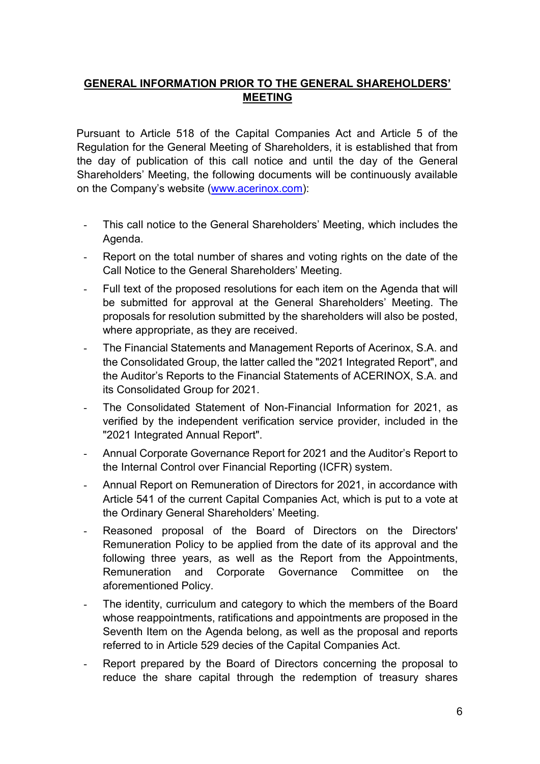### GENERAL INFORMATION PRIOR TO THE GENERAL SHAREHOLDERS' MEETING

Pursuant to Article 518 of the Capital Companies Act and Article 5 of the Regulation for the General Meeting of Shareholders, it is established that from the day of publication of this call notice and until the day of the General Shareholders' Meeting, the following documents will be continuously available on the Company's website (www.acerinox.com):

- This call notice to the General Shareholders' Meeting, which includes the Agenda.
- Report on the total number of shares and voting rights on the date of the Call Notice to the General Shareholders' Meeting.
- Full text of the proposed resolutions for each item on the Agenda that will be submitted for approval at the General Shareholders' Meeting. The proposals for resolution submitted by the shareholders will also be posted, where appropriate, as they are received.
- The Financial Statements and Management Reports of Acerinox, S.A. and the Consolidated Group, the latter called the "2021 Integrated Report", and the Auditor's Reports to the Financial Statements of ACERINOX, S.A. and its Consolidated Group for 2021.
- The Consolidated Statement of Non-Financial Information for 2021, as verified by the independent verification service provider, included in the "2021 Integrated Annual Report".
- Annual Corporate Governance Report for 2021 and the Auditor's Report to the Internal Control over Financial Reporting (ICFR) system.
- Annual Report on Remuneration of Directors for 2021, in accordance with Article 541 of the current Capital Companies Act, which is put to a vote at the Ordinary General Shareholders' Meeting.
- Reasoned proposal of the Board of Directors on the Directors' Remuneration Policy to be applied from the date of its approval and the following three years, as well as the Report from the Appointments, Remuneration and Corporate Governance Committee on the aforementioned Policy.
- The identity, curriculum and category to which the members of the Board whose reappointments, ratifications and appointments are proposed in the Seventh Item on the Agenda belong, as well as the proposal and reports referred to in Article 529 decies of the Capital Companies Act.
- Report prepared by the Board of Directors concerning the proposal to reduce the share capital through the redemption of treasury shares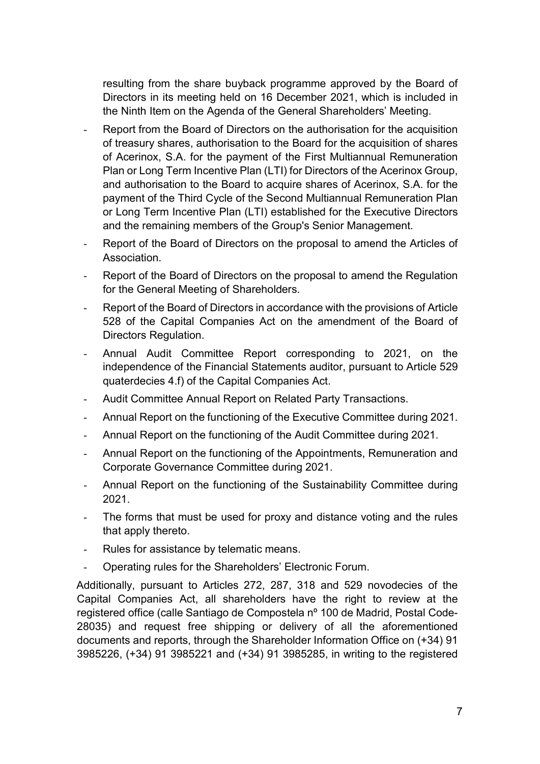resulting from the share buyback programme approved by the Board of Directors in its meeting held on 16 December 2021, which is included in the Ninth Item on the Agenda of the General Shareholders' Meeting.

- Report from the Board of Directors on the authorisation for the acquisition of treasury shares, authorisation to the Board for the acquisition of shares of Acerinox, S.A. for the payment of the First Multiannual Remuneration Plan or Long Term Incentive Plan (LTI) for Directors of the Acerinox Group, and authorisation to the Board to acquire shares of Acerinox, S.A. for the payment of the Third Cycle of the Second Multiannual Remuneration Plan or Long Term Incentive Plan (LTI) established for the Executive Directors and the remaining members of the Group's Senior Management.
- Report of the Board of Directors on the proposal to amend the Articles of Association.
- Report of the Board of Directors on the proposal to amend the Regulation for the General Meeting of Shareholders.
- Report of the Board of Directors in accordance with the provisions of Article 528 of the Capital Companies Act on the amendment of the Board of Directors Regulation.
- Annual Audit Committee Report corresponding to 2021, on the independence of the Financial Statements auditor, pursuant to Article 529 quaterdecies 4.f) of the Capital Companies Act.
- Audit Committee Annual Report on Related Party Transactions.
- Annual Report on the functioning of the Executive Committee during 2021.
- Annual Report on the functioning of the Audit Committee during 2021.
- Annual Report on the functioning of the Appointments, Remuneration and Corporate Governance Committee during 2021.
- Annual Report on the functioning of the Sustainability Committee during 2021.
- The forms that must be used for proxy and distance voting and the rules that apply thereto.
- Rules for assistance by telematic means.
- Operating rules for the Shareholders' Electronic Forum.

Additionally, pursuant to Articles 272, 287, 318 and 529 novodecies of the Capital Companies Act, all shareholders have the right to review at the registered office (calle Santiago de Compostela nº 100 de Madrid, Postal Code-28035) and request free shipping or delivery of all the aforementioned documents and reports, through the Shareholder Information Office on (+34) 91 3985226, (+34) 91 3985221 and (+34) 91 3985285, in writing to the registered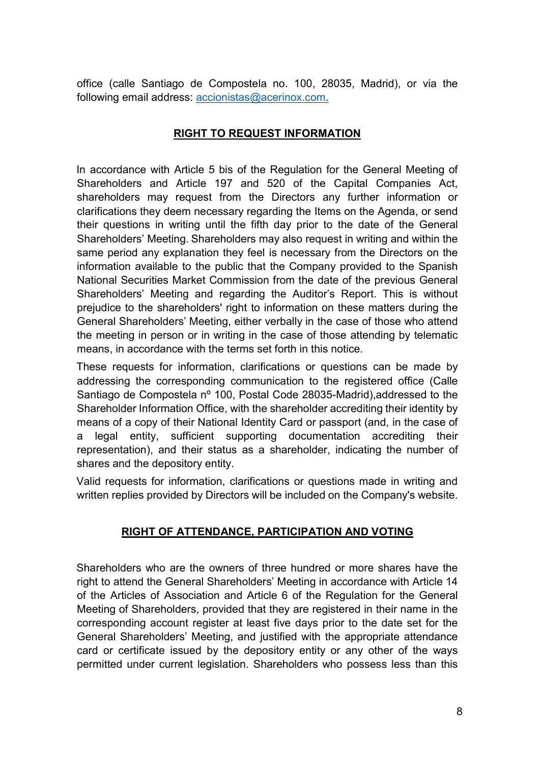office (calle Santiago de Compostela no. 100, 28035, Madrid), or via the following email address: accionistas@acerinox.com.

### RIGHT TO REQUEST INFORMATION

In accordance with Article 5 bis of the Regulation for the General Meeting of Shareholders and Article 197 and 520 of the Capital Companies Act, shareholders may request from the Directors any further information or clarifications they deem necessary regarding the Items on the Agenda, or send their questions in writing until the fifth day prior to the date of the General Shareholders' Meeting. Shareholders may also request in writing and within the same period any explanation they feel is necessary from the Directors on the information available to the public that the Company provided to the Spanish National Securities Market Commission from the date of the previous General Shareholders' Meeting and regarding the Auditor's Report. This is without prejudice to the shareholders' right to information on these matters during the General Shareholders' Meeting, either verbally in the case of those who attend the meeting in person or in writing in the case of those attending by telematic means, in accordance with the terms set forth in this notice.

These requests for information, clarifications or questions can be made by addressing the corresponding communication to the registered office (Calle Santiago de Compostela nº 100, Postal Code 28035-Madrid),addressed to the Shareholder Information Office, with the shareholder accrediting their identity by means of a copy of their National Identity Card or passport (and, in the case of a legal entity, sufficient supporting documentation accrediting their representation), and their status as a shareholder, indicating the number of shares and the depository entity.

Valid requests for information, clarifications or questions made in writing and written replies provided by Directors will be included on the Company's website.

### RIGHT OF ATTENDANCE, PARTICIPATION AND VOTING

Shareholders who are the owners of three hundred or more shares have the right to attend the General Shareholders' Meeting in accordance with Article 14 of the Articles of Association and Article 6 of the Regulation for the General Meeting of Shareholders, provided that they are registered in their name in the corresponding account register at least five days prior to the date set for the General Shareholders' Meeting, and justified with the appropriate attendance card or certificate issued by the depository entity or any other of the ways permitted under current legislation. Shareholders who possess less than this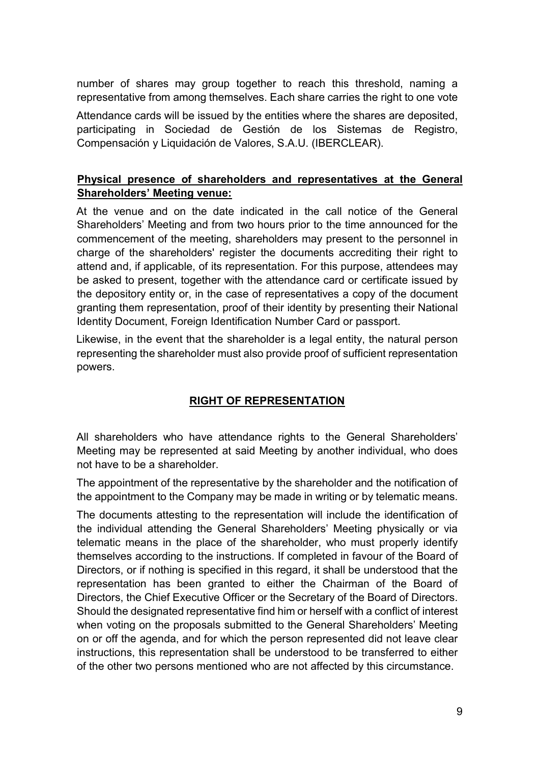number of shares may group together to reach this threshold, naming a representative from among themselves. Each share carries the right to one vote

Attendance cards will be issued by the entities where the shares are deposited, participating in Sociedad de Gestión de los Sistemas de Registro, Compensación y Liquidación de Valores, S.A.U. (IBERCLEAR).

### Physical presence of shareholders and representatives at the General Shareholders' Meeting venue:

At the venue and on the date indicated in the call notice of the General Shareholders' Meeting and from two hours prior to the time announced for the commencement of the meeting, shareholders may present to the personnel in charge of the shareholders' register the documents accrediting their right to attend and, if applicable, of its representation. For this purpose, attendees may be asked to present, together with the attendance card or certificate issued by the depository entity or, in the case of representatives a copy of the document granting them representation, proof of their identity by presenting their National Identity Document, Foreign Identification Number Card or passport.

Likewise, in the event that the shareholder is a legal entity, the natural person representing the shareholder must also provide proof of sufficient representation powers.

### RIGHT OF REPRESENTATION

All shareholders who have attendance rights to the General Shareholders' Meeting may be represented at said Meeting by another individual, who does not have to be a shareholder.

The appointment of the representative by the shareholder and the notification of the appointment to the Company may be made in writing or by telematic means.

The documents attesting to the representation will include the identification of the individual attending the General Shareholders' Meeting physically or via telematic means in the place of the shareholder, who must properly identify themselves according to the instructions. If completed in favour of the Board of Directors, or if nothing is specified in this regard, it shall be understood that the representation has been granted to either the Chairman of the Board of Directors, the Chief Executive Officer or the Secretary of the Board of Directors. Should the designated representative find him or herself with a conflict of interest when voting on the proposals submitted to the General Shareholders' Meeting on or off the agenda, and for which the person represented did not leave clear instructions, this representation shall be understood to be transferred to either of the other two persons mentioned who are not affected by this circumstance.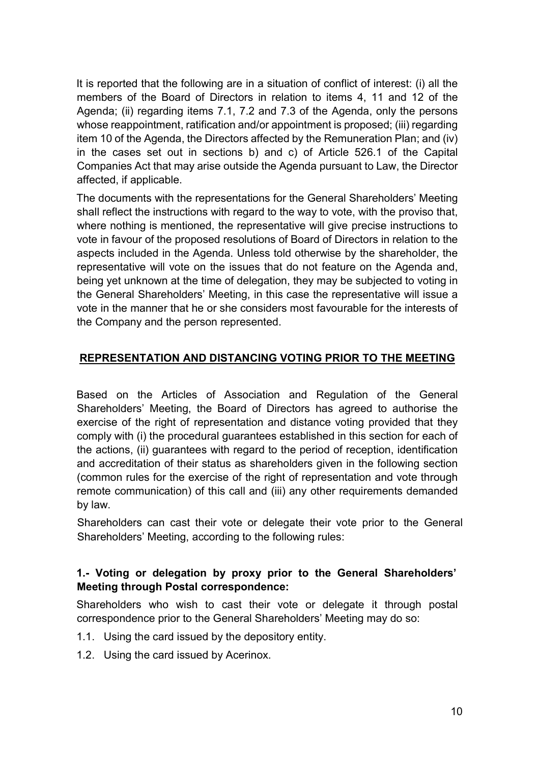It is reported that the following are in a situation of conflict of interest: (i) all the members of the Board of Directors in relation to items 4, 11 and 12 of the Agenda; (ii) regarding items 7.1, 7.2 and 7.3 of the Agenda, only the persons whose reappointment, ratification and/or appointment is proposed; (iii) regarding item 10 of the Agenda, the Directors affected by the Remuneration Plan; and (iv) in the cases set out in sections b) and c) of Article 526.1 of the Capital Companies Act that may arise outside the Agenda pursuant to Law, the Director affected, if applicable.

The documents with the representations for the General Shareholders' Meeting shall reflect the instructions with regard to the way to vote, with the proviso that, where nothing is mentioned, the representative will give precise instructions to vote in favour of the proposed resolutions of Board of Directors in relation to the aspects included in the Agenda. Unless told otherwise by the shareholder, the representative will vote on the issues that do not feature on the Agenda and, being yet unknown at the time of delegation, they may be subjected to voting in the General Shareholders' Meeting, in this case the representative will issue a vote in the manner that he or she considers most favourable for the interests of the Company and the person represented.

### REPRESENTATION AND DISTANCING VOTING PRIOR TO THE MEETING

Based on the Articles of Association and Regulation of the General Shareholders' Meeting, the Board of Directors has agreed to authorise the exercise of the right of representation and distance voting provided that they comply with (i) the procedural guarantees established in this section for each of the actions, (ii) guarantees with regard to the period of reception, identification and accreditation of their status as shareholders given in the following section (common rules for the exercise of the right of representation and vote through remote communication) of this call and (iii) any other requirements demanded by law.

Shareholders can cast their vote or delegate their vote prior to the General Shareholders' Meeting, according to the following rules:

#### 1.- Voting or delegation by proxy prior to the General Shareholders' Meeting through Postal correspondence:

Shareholders who wish to cast their vote or delegate it through postal correspondence prior to the General Shareholders' Meeting may do so:

- 1.1. Using the card issued by the depository entity.
- 1.2. Using the card issued by Acerinox.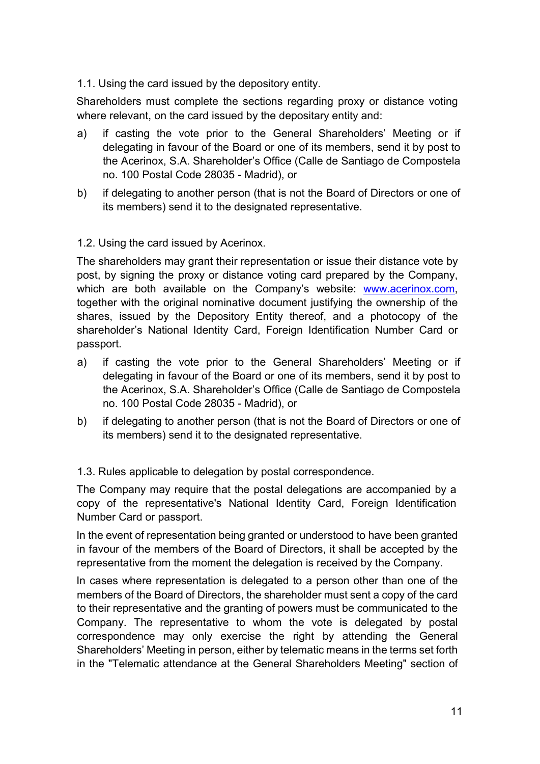1.1. Using the card issued by the depository entity.

Shareholders must complete the sections regarding proxy or distance voting where relevant, on the card issued by the depositary entity and:

- a) if casting the vote prior to the General Shareholders' Meeting or if delegating in favour of the Board or one of its members, send it by post to the Acerinox, S.A. Shareholder's Office (Calle de Santiago de Compostela no. 100 Postal Code 28035 - Madrid), or
- b) if delegating to another person (that is not the Board of Directors or one of its members) send it to the designated representative.

#### 1.2. Using the card issued by Acerinox.

The shareholders may grant their representation or issue their distance vote by post, by signing the proxy or distance voting card prepared by the Company, which are both available on the Company's website: www.acerinox.com, together with the original nominative document justifying the ownership of the shares, issued by the Depository Entity thereof, and a photocopy of the shareholder's National Identity Card, Foreign Identification Number Card or passport.

- a) if casting the vote prior to the General Shareholders' Meeting or if delegating in favour of the Board or one of its members, send it by post to the Acerinox, S.A. Shareholder's Office (Calle de Santiago de Compostela no. 100 Postal Code 28035 - Madrid), or
- b) if delegating to another person (that is not the Board of Directors or one of its members) send it to the designated representative.

1.3. Rules applicable to delegation by postal correspondence.

The Company may require that the postal delegations are accompanied by a copy of the representative's National Identity Card, Foreign Identification Number Card or passport.

In the event of representation being granted or understood to have been granted in favour of the members of the Board of Directors, it shall be accepted by the representative from the moment the delegation is received by the Company.

In cases where representation is delegated to a person other than one of the members of the Board of Directors, the shareholder must sent a copy of the card to their representative and the granting of powers must be communicated to the Company. The representative to whom the vote is delegated by postal correspondence may only exercise the right by attending the General Shareholders' Meeting in person, either by telematic means in the terms set forth in the "Telematic attendance at the General Shareholders Meeting" section of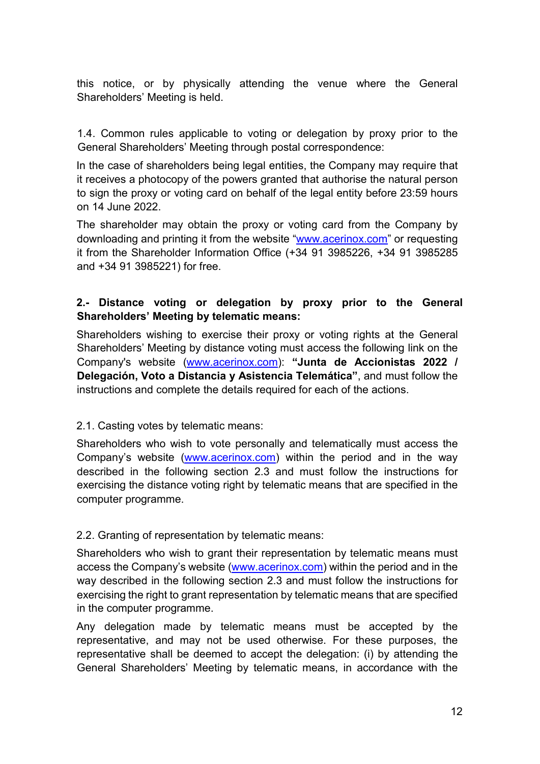this notice, or by physically attending the venue where the General Shareholders' Meeting is held.

1.4. Common rules applicable to voting or delegation by proxy prior to the General Shareholders' Meeting through postal correspondence:

In the case of shareholders being legal entities, the Company may require that it receives a photocopy of the powers granted that authorise the natural person to sign the proxy or voting card on behalf of the legal entity before 23:59 hours on 14 June 2022.

The shareholder may obtain the proxy or voting card from the Company by downloading and printing it from the website "www.acerinox.com" or requesting it from the Shareholder Information Office (+34 91 3985226, +34 91 3985285 and +34 91 3985221) for free.

### 2.- Distance voting or delegation by proxy prior to the General Shareholders' Meeting by telematic means:

Shareholders wishing to exercise their proxy or voting rights at the General Shareholders' Meeting by distance voting must access the following link on the Company's website (www.acerinox.com): "Junta de Accionistas 2022 / Delegación, Voto a Distancia y Asistencia Telemática", and must follow the instructions and complete the details required for each of the actions.

#### 2.1. Casting votes by telematic means:

Shareholders who wish to vote personally and telematically must access the Company's website (www.acerinox.com) within the period and in the way described in the following section 2.3 and must follow the instructions for exercising the distance voting right by telematic means that are specified in the computer programme.

#### 2.2. Granting of representation by telematic means:

Shareholders who wish to grant their representation by telematic means must access the Company's website (www.acerinox.com) within the period and in the way described in the following section 2.3 and must follow the instructions for exercising the right to grant representation by telematic means that are specified in the computer programme.

Any delegation made by telematic means must be accepted by the representative, and may not be used otherwise. For these purposes, the representative shall be deemed to accept the delegation: (i) by attending the General Shareholders' Meeting by telematic means, in accordance with the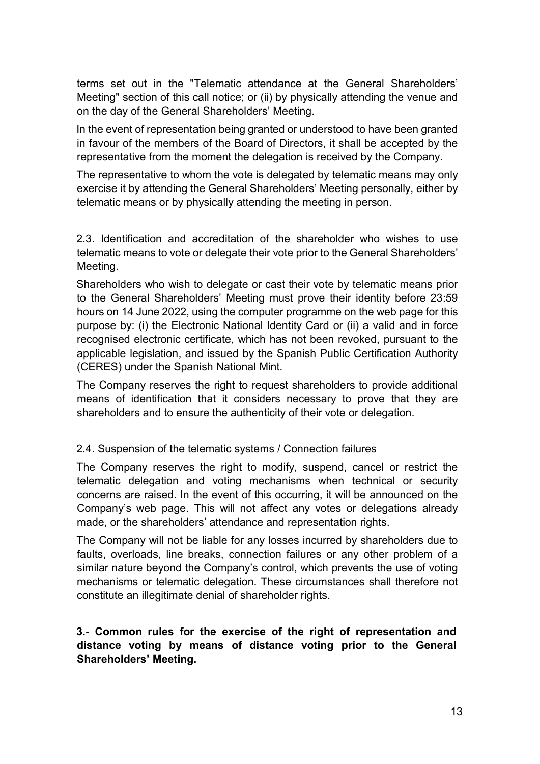terms set out in the "Telematic attendance at the General Shareholders' Meeting" section of this call notice; or (ii) by physically attending the venue and on the day of the General Shareholders' Meeting.

In the event of representation being granted or understood to have been granted in favour of the members of the Board of Directors, it shall be accepted by the representative from the moment the delegation is received by the Company.

The representative to whom the vote is delegated by telematic means may only exercise it by attending the General Shareholders' Meeting personally, either by telematic means or by physically attending the meeting in person.

2.3. Identification and accreditation of the shareholder who wishes to use telematic means to vote or delegate their vote prior to the General Shareholders' Meeting.

Shareholders who wish to delegate or cast their vote by telematic means prior to the General Shareholders' Meeting must prove their identity before 23:59 hours on 14 June 2022, using the computer programme on the web page for this purpose by: (i) the Electronic National Identity Card or (ii) a valid and in force recognised electronic certificate, which has not been revoked, pursuant to the applicable legislation, and issued by the Spanish Public Certification Authority (CERES) under the Spanish National Mint.

The Company reserves the right to request shareholders to provide additional means of identification that it considers necessary to prove that they are shareholders and to ensure the authenticity of their vote or delegation.

#### 2.4. Suspension of the telematic systems / Connection failures

The Company reserves the right to modify, suspend, cancel or restrict the telematic delegation and voting mechanisms when technical or security concerns are raised. In the event of this occurring, it will be announced on the Company's web page. This will not affect any votes or delegations already made, or the shareholders' attendance and representation rights.

The Company will not be liable for any losses incurred by shareholders due to faults, overloads, line breaks, connection failures or any other problem of a similar nature beyond the Company's control, which prevents the use of voting mechanisms or telematic delegation. These circumstances shall therefore not constitute an illegitimate denial of shareholder rights.

#### 3.- Common rules for the exercise of the right of representation and distance voting by means of distance voting prior to the General Shareholders' Meeting.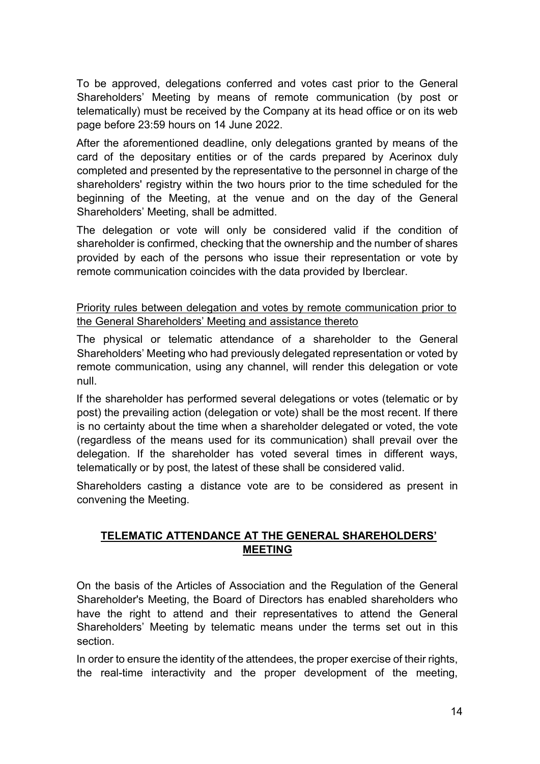To be approved, delegations conferred and votes cast prior to the General Shareholders' Meeting by means of remote communication (by post or telematically) must be received by the Company at its head office or on its web page before 23:59 hours on 14 June 2022.

After the aforementioned deadline, only delegations granted by means of the card of the depositary entities or of the cards prepared by Acerinox duly completed and presented by the representative to the personnel in charge of the shareholders' registry within the two hours prior to the time scheduled for the beginning of the Meeting, at the venue and on the day of the General Shareholders' Meeting, shall be admitted.

The delegation or vote will only be considered valid if the condition of shareholder is confirmed, checking that the ownership and the number of shares provided by each of the persons who issue their representation or vote by remote communication coincides with the data provided by Iberclear.

Priority rules between delegation and votes by remote communication prior to the General Shareholders' Meeting and assistance thereto

The physical or telematic attendance of a shareholder to the General Shareholders' Meeting who had previously delegated representation or voted by remote communication, using any channel, will render this delegation or vote null.

If the shareholder has performed several delegations or votes (telematic or by post) the prevailing action (delegation or vote) shall be the most recent. If there is no certainty about the time when a shareholder delegated or voted, the vote (regardless of the means used for its communication) shall prevail over the delegation. If the shareholder has voted several times in different ways, telematically or by post, the latest of these shall be considered valid.

Shareholders casting a distance vote are to be considered as present in convening the Meeting.

### TELEMATIC ATTENDANCE AT THE GENERAL SHAREHOLDERS' MEETING

On the basis of the Articles of Association and the Regulation of the General Shareholder's Meeting, the Board of Directors has enabled shareholders who have the right to attend and their representatives to attend the General Shareholders' Meeting by telematic means under the terms set out in this section.

In order to ensure the identity of the attendees, the proper exercise of their rights, the real-time interactivity and the proper development of the meeting,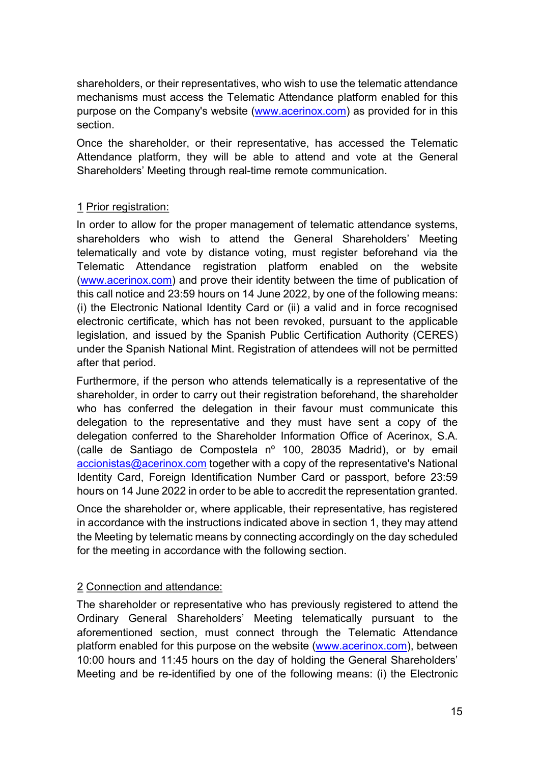shareholders, or their representatives, who wish to use the telematic attendance mechanisms must access the Telematic Attendance platform enabled for this purpose on the Company's website (www.acerinox.com) as provided for in this section.

Once the shareholder, or their representative, has accessed the Telematic Attendance platform, they will be able to attend and vote at the General Shareholders' Meeting through real-time remote communication.

#### 1 Prior registration:

In order to allow for the proper management of telematic attendance systems, shareholders who wish to attend the General Shareholders' Meeting telematically and vote by distance voting, must register beforehand via the Telematic Attendance registration platform enabled on the website (www.acerinox.com) and prove their identity between the time of publication of this call notice and 23:59 hours on 14 June 2022, by one of the following means: (i) the Electronic National Identity Card or (ii) a valid and in force recognised electronic certificate, which has not been revoked, pursuant to the applicable legislation, and issued by the Spanish Public Certification Authority (CERES) under the Spanish National Mint. Registration of attendees will not be permitted after that period.

Furthermore, if the person who attends telematically is a representative of the shareholder, in order to carry out their registration beforehand, the shareholder who has conferred the delegation in their favour must communicate this delegation to the representative and they must have sent a copy of the delegation conferred to the Shareholder Information Office of Acerinox, S.A. (calle de Santiago de Compostela nº 100, 28035 Madrid), or by email accionistas@acerinox.com together with a copy of the representative's National Identity Card, Foreign Identification Number Card or passport, before 23:59 hours on 14 June 2022 in order to be able to accredit the representation granted.

Once the shareholder or, where applicable, their representative, has registered in accordance with the instructions indicated above in section 1, they may attend the Meeting by telematic means by connecting accordingly on the day scheduled for the meeting in accordance with the following section.

### 2 Connection and attendance:

The shareholder or representative who has previously registered to attend the Ordinary General Shareholders' Meeting telematically pursuant to the aforementioned section, must connect through the Telematic Attendance platform enabled for this purpose on the website (www.acerinox.com), between 10:00 hours and 11:45 hours on the day of holding the General Shareholders' Meeting and be re-identified by one of the following means: (i) the Electronic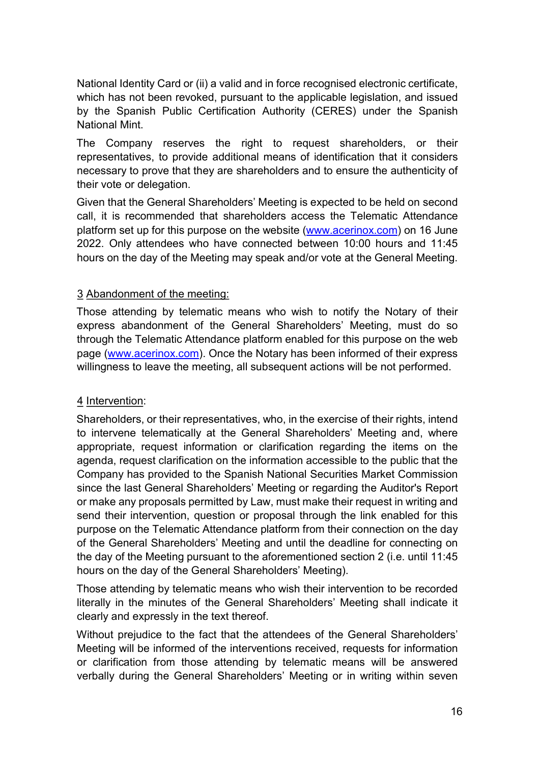National Identity Card or (ii) a valid and in force recognised electronic certificate, which has not been revoked, pursuant to the applicable legislation, and issued by the Spanish Public Certification Authority (CERES) under the Spanish National Mint.

The Company reserves the right to request shareholders, or their representatives, to provide additional means of identification that it considers necessary to prove that they are shareholders and to ensure the authenticity of their vote or delegation.

Given that the General Shareholders' Meeting is expected to be held on second call, it is recommended that shareholders access the Telematic Attendance platform set up for this purpose on the website (www.acerinox.com) on 16 June 2022. Only attendees who have connected between 10:00 hours and 11:45 hours on the day of the Meeting may speak and/or vote at the General Meeting.

### 3 Abandonment of the meeting:

Those attending by telematic means who wish to notify the Notary of their express abandonment of the General Shareholders' Meeting, must do so through the Telematic Attendance platform enabled for this purpose on the web page (www.acerinox.com). Once the Notary has been informed of their express willingness to leave the meeting, all subsequent actions will be not performed.

#### 4 Intervention:

Shareholders, or their representatives, who, in the exercise of their rights, intend to intervene telematically at the General Shareholders' Meeting and, where appropriate, request information or clarification regarding the items on the agenda, request clarification on the information accessible to the public that the Company has provided to the Spanish National Securities Market Commission since the last General Shareholders' Meeting or regarding the Auditor's Report or make any proposals permitted by Law, must make their request in writing and send their intervention, question or proposal through the link enabled for this purpose on the Telematic Attendance platform from their connection on the day of the General Shareholders' Meeting and until the deadline for connecting on the day of the Meeting pursuant to the aforementioned section 2 (i.e. until 11:45 hours on the day of the General Shareholders' Meeting).

Those attending by telematic means who wish their intervention to be recorded literally in the minutes of the General Shareholders' Meeting shall indicate it clearly and expressly in the text thereof.

Without prejudice to the fact that the attendees of the General Shareholders' Meeting will be informed of the interventions received, requests for information or clarification from those attending by telematic means will be answered verbally during the General Shareholders' Meeting or in writing within seven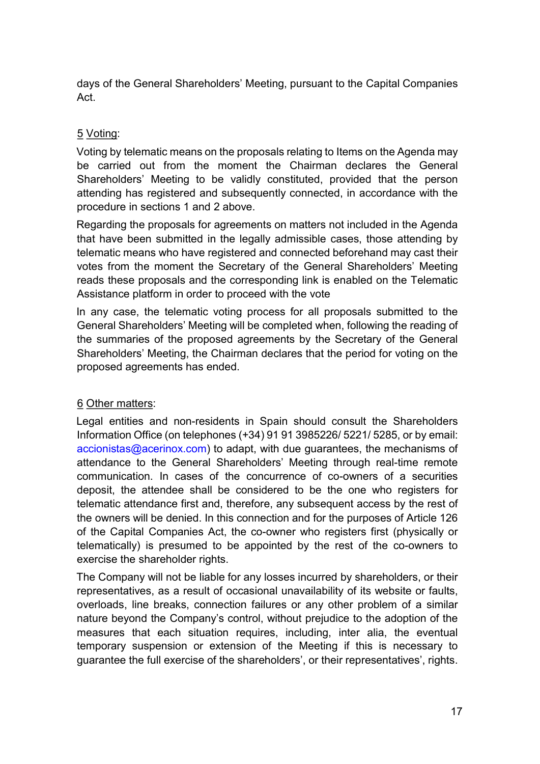days of the General Shareholders' Meeting, pursuant to the Capital Companies Act.

### 5 Voting:

Voting by telematic means on the proposals relating to Items on the Agenda may be carried out from the moment the Chairman declares the General Shareholders' Meeting to be validly constituted, provided that the person attending has registered and subsequently connected, in accordance with the procedure in sections 1 and 2 above.

Regarding the proposals for agreements on matters not included in the Agenda that have been submitted in the legally admissible cases, those attending by telematic means who have registered and connected beforehand may cast their votes from the moment the Secretary of the General Shareholders' Meeting reads these proposals and the corresponding link is enabled on the Telematic Assistance platform in order to proceed with the vote

In any case, the telematic voting process for all proposals submitted to the General Shareholders' Meeting will be completed when, following the reading of the summaries of the proposed agreements by the Secretary of the General Shareholders' Meeting, the Chairman declares that the period for voting on the proposed agreements has ended.

#### 6 Other matters:

Legal entities and non-residents in Spain should consult the Shareholders Information Office (on telephones (+34) 91 91 3985226/ 5221/ 5285, or by email:  $accionistas@acerinox.com$ ) to adapt, with due guarantees, the mechanisms of attendance to the General Shareholders' Meeting through real-time remote communication. In cases of the concurrence of co-owners of a securities deposit, the attendee shall be considered to be the one who registers for telematic attendance first and, therefore, any subsequent access by the rest of the owners will be denied. In this connection and for the purposes of Article 126 of the Capital Companies Act, the co-owner who registers first (physically or telematically) is presumed to be appointed by the rest of the co-owners to exercise the shareholder rights.

The Company will not be liable for any losses incurred by shareholders, or their representatives, as a result of occasional unavailability of its website or faults, overloads, line breaks, connection failures or any other problem of a similar nature beyond the Company's control, without prejudice to the adoption of the measures that each situation requires, including, inter alia, the eventual temporary suspension or extension of the Meeting if this is necessary to guarantee the full exercise of the shareholders', or their representatives', rights.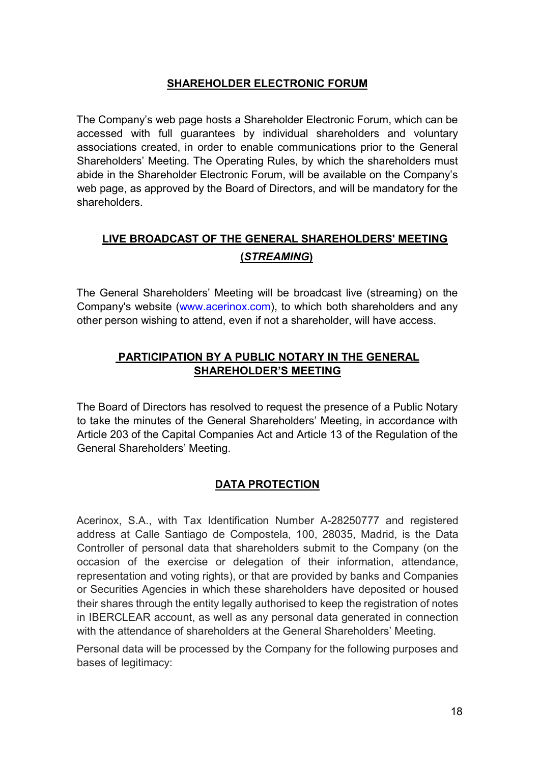### SHAREHOLDER ELECTRONIC FORUM

The Company's web page hosts a Shareholder Electronic Forum, which can be accessed with full guarantees by individual shareholders and voluntary associations created, in order to enable communications prior to the General Shareholders' Meeting. The Operating Rules, by which the shareholders must abide in the Shareholder Electronic Forum, will be available on the Company's web page, as approved by the Board of Directors, and will be mandatory for the shareholders.

## LIVE BROADCAST OF THE GENERAL SHAREHOLDERS' MEETING (STREAMING)

The General Shareholders' Meeting will be broadcast live (streaming) on the Company's website (www.acerinox.com), to which both shareholders and any other person wishing to attend, even if not a shareholder, will have access.

### PARTICIPATION BY A PUBLIC NOTARY IN THE GENERAL SHAREHOLDER'S MEETING

The Board of Directors has resolved to request the presence of a Public Notary to take the minutes of the General Shareholders' Meeting, in accordance with Article 203 of the Capital Companies Act and Article 13 of the Regulation of the General Shareholders' Meeting.

### DATA PROTECTION

Acerinox, S.A., with Tax Identification Number A-28250777 and registered address at Calle Santiago de Compostela, 100, 28035, Madrid, is the Data Controller of personal data that shareholders submit to the Company (on the occasion of the exercise or delegation of their information, attendance, representation and voting rights), or that are provided by banks and Companies or Securities Agencies in which these shareholders have deposited or housed their shares through the entity legally authorised to keep the registration of notes in IBERCLEAR account, as well as any personal data generated in connection with the attendance of shareholders at the General Shareholders' Meeting.

Personal data will be processed by the Company for the following purposes and bases of legitimacy: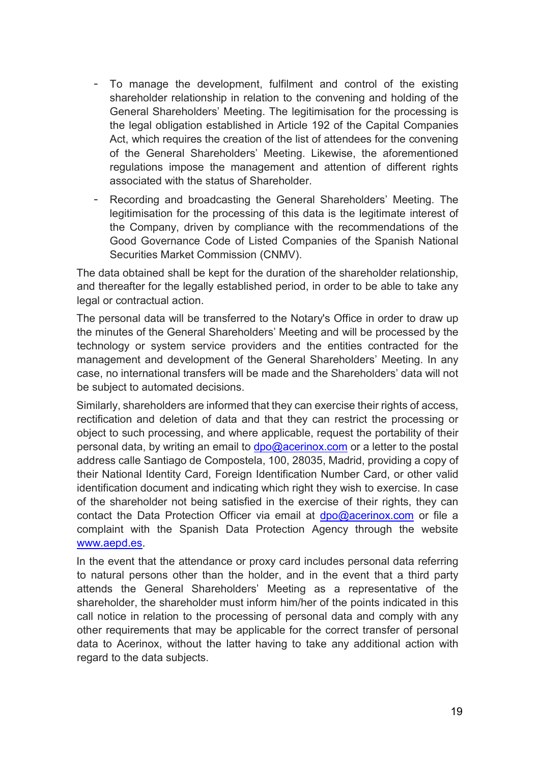- To manage the development, fulfilment and control of the existing shareholder relationship in relation to the convening and holding of the General Shareholders' Meeting. The legitimisation for the processing is the legal obligation established in Article 192 of the Capital Companies Act, which requires the creation of the list of attendees for the convening of the General Shareholders' Meeting. Likewise, the aforementioned regulations impose the management and attention of different rights associated with the status of Shareholder.
- Recording and broadcasting the General Shareholders' Meeting. The legitimisation for the processing of this data is the legitimate interest of the Company, driven by compliance with the recommendations of the Good Governance Code of Listed Companies of the Spanish National Securities Market Commission (CNMV).

The data obtained shall be kept for the duration of the shareholder relationship, and thereafter for the legally established period, in order to be able to take any legal or contractual action.

The personal data will be transferred to the Notary's Office in order to draw up the minutes of the General Shareholders' Meeting and will be processed by the technology or system service providers and the entities contracted for the management and development of the General Shareholders' Meeting. In any case, no international transfers will be made and the Shareholders' data will not be subject to automated decisions.

Similarly, shareholders are informed that they can exercise their rights of access, rectification and deletion of data and that they can restrict the processing or object to such processing, and where applicable, request the portability of their personal data, by writing an email to  $dpo@acerinox.com$  or a letter to the postal address calle Santiago de Compostela, 100, 28035, Madrid, providing a copy of their National Identity Card, Foreign Identification Number Card, or other valid identification document and indicating which right they wish to exercise. In case of the shareholder not being satisfied in the exercise of their rights, they can contact the Data Protection Officer via email at  $dpo@acerinox.com$  or file a complaint with the Spanish Data Protection Agency through the website www.aepd.es.

In the event that the attendance or proxy card includes personal data referring to natural persons other than the holder, and in the event that a third party attends the General Shareholders' Meeting as a representative of the shareholder, the shareholder must inform him/her of the points indicated in this call notice in relation to the processing of personal data and comply with any other requirements that may be applicable for the correct transfer of personal data to Acerinox, without the latter having to take any additional action with regard to the data subjects.